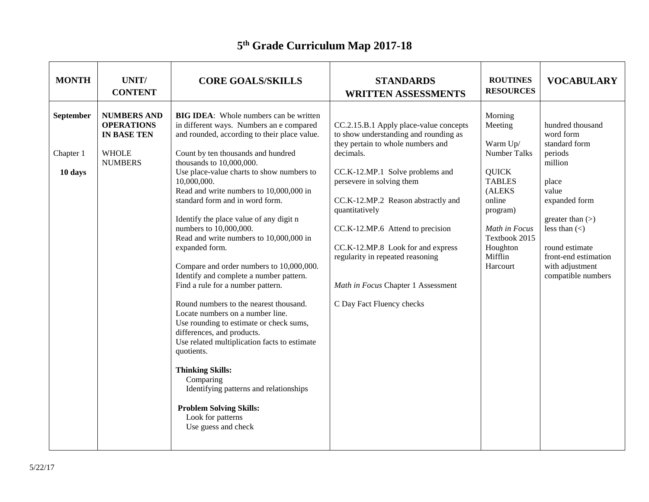## **5 th Grade Curriculum Map 2017-18**

| <b>MONTH</b>                      | UNIT/<br><b>CONTENT</b>                                                                         | <b>CORE GOALS/SKILLS</b>                                                                                                                                                                                                                                                                                                                                                                                                                                                                                                                                                                                                                                                                                                                                                                                                                                                                                                                                                                                 | <b>STANDARDS</b><br><b>WRITTEN ASSESSMENTS</b>                                                                                                                                                                                                                                                                                                                                                                                            | <b>ROUTINES</b><br><b>RESOURCES</b>                                                                                                                                                         | <b>VOCABULARY</b>                                                                                                                                                                                                                     |
|-----------------------------------|-------------------------------------------------------------------------------------------------|----------------------------------------------------------------------------------------------------------------------------------------------------------------------------------------------------------------------------------------------------------------------------------------------------------------------------------------------------------------------------------------------------------------------------------------------------------------------------------------------------------------------------------------------------------------------------------------------------------------------------------------------------------------------------------------------------------------------------------------------------------------------------------------------------------------------------------------------------------------------------------------------------------------------------------------------------------------------------------------------------------|-------------------------------------------------------------------------------------------------------------------------------------------------------------------------------------------------------------------------------------------------------------------------------------------------------------------------------------------------------------------------------------------------------------------------------------------|---------------------------------------------------------------------------------------------------------------------------------------------------------------------------------------------|---------------------------------------------------------------------------------------------------------------------------------------------------------------------------------------------------------------------------------------|
| September<br>Chapter 1<br>10 days | <b>NUMBERS AND</b><br><b>OPERATIONS</b><br><b>IN BASE TEN</b><br><b>WHOLE</b><br><b>NUMBERS</b> | <b>BIG IDEA:</b> Whole numbers can be written<br>in different ways. Numbers an e compared<br>and rounded, according to their place value.<br>Count by ten thousands and hundred<br>thousands to 10,000,000.<br>Use place-value charts to show numbers to<br>10,000,000.<br>Read and write numbers to 10,000,000 in<br>standard form and in word form.<br>Identify the place value of any digit n<br>numbers to 10,000,000.<br>Read and write numbers to 10,000,000 in<br>expanded form.<br>Compare and order numbers to 10,000,000.<br>Identify and complete a number pattern.<br>Find a rule for a number pattern.<br>Round numbers to the nearest thousand.<br>Locate numbers on a number line.<br>Use rounding to estimate or check sums,<br>differences, and products.<br>Use related multiplication facts to estimate<br>quotients.<br><b>Thinking Skills:</b><br>Comparing<br>Identifying patterns and relationships<br><b>Problem Solving Skills:</b><br>Look for patterns<br>Use guess and check | CC.2.15.B.1 Apply place-value concepts<br>to show understanding and rounding as<br>they pertain to whole numbers and<br>decimals.<br>CC.K-12.MP.1 Solve problems and<br>persevere in solving them<br>CC.K-12.MP.2 Reason abstractly and<br>quantitatively<br>CC.K-12.MP.6 Attend to precision<br>CC.K-12.MP.8 Look for and express<br>regularity in repeated reasoning<br>Math in Focus Chapter 1 Assessment<br>C Day Fact Fluency checks | Morning<br>Meeting<br>Warm Up/<br><b>Number Talks</b><br><b>QUICK</b><br><b>TABLES</b><br>(ALEKS<br>online<br>program)<br>Math in Focus<br>Textbook 2015<br>Houghton<br>Mifflin<br>Harcourt | hundred thousand<br>word form<br>standard form<br>periods<br>million<br>place<br>value<br>expanded form<br>greater than $(>)$<br>less than $(\le)$<br>round estimate<br>front-end estimation<br>with adjustment<br>compatible numbers |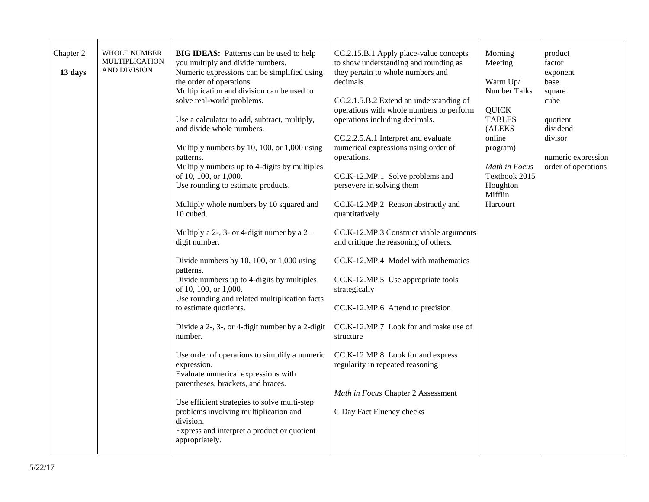| Chapter 2<br>13 days | <b>WHOLE NUMBER</b><br><b>MULTIPLICATION</b><br><b>AND DIVISION</b> | <b>BIG IDEAS:</b> Patterns can be used to help<br>you multiply and divide numbers.<br>Numeric expressions can be simplified using<br>the order of operations.<br>Multiplication and division can be used to<br>solve real-world problems.<br>Use a calculator to add, subtract, multiply,<br>and divide whole numbers.<br>Multiply numbers by 10, 100, or 1,000 using<br>patterns.<br>Multiply numbers up to 4-digits by multiples<br>of 10, 100, or 1,000.<br>Use rounding to estimate products.<br>Multiply whole numbers by 10 squared and<br>10 cubed.<br>Multiply a 2-, 3- or 4-digit numer by a $2-$<br>digit number.<br>Divide numbers by 10, 100, or 1,000 using<br>patterns.<br>Divide numbers up to 4-digits by multiples<br>of 10, 100, or 1,000.<br>Use rounding and related multiplication facts<br>to estimate quotients.<br>Divide a 2-, 3-, or 4-digit number by a 2-digit<br>number.<br>Use order of operations to simplify a numeric<br>expression.<br>Evaluate numerical expressions with<br>parentheses, brackets, and braces.<br>Use efficient strategies to solve multi-step<br>problems involving multiplication and<br>division.<br>Express and interpret a product or quotient<br>appropriately. | CC.2.15.B.1 Apply place-value concepts<br>to show understanding and rounding as<br>they pertain to whole numbers and<br>decimals.<br>CC.2.1.5.B.2 Extend an understanding of<br>operations with whole numbers to perform<br>operations including decimals.<br>CC.2.2.5.A.1 Interpret and evaluate<br>numerical expressions using order of<br>operations.<br>CC.K-12.MP.1 Solve problems and<br>persevere in solving them<br>CC.K-12.MP.2 Reason abstractly and<br>quantitatively<br>CC.K-12.MP.3 Construct viable arguments<br>and critique the reasoning of others.<br>CC.K-12.MP.4 Model with mathematics<br>CC.K-12.MP.5 Use appropriate tools<br>strategically<br>CC.K-12.MP.6 Attend to precision<br>CC.K-12.MP.7 Look for and make use of<br>structure<br>CC.K-12.MP.8 Look for and express<br>regularity in repeated reasoning<br>Math in Focus Chapter 2 Assessment<br>C Day Fact Fluency checks | Morning<br>Meeting<br>Warm Up/<br>Number Talks<br><b>QUICK</b><br><b>TABLES</b><br>(ALEKS<br>online<br>program)<br>Math in Focus<br>Textbook 2015<br>Houghton<br>Mifflin<br>Harcourt | product<br>factor<br>exponent<br>base<br>square<br>cube<br>quotient<br>dividend<br>divisor<br>numeric expression<br>order of operations |
|----------------------|---------------------------------------------------------------------|---------------------------------------------------------------------------------------------------------------------------------------------------------------------------------------------------------------------------------------------------------------------------------------------------------------------------------------------------------------------------------------------------------------------------------------------------------------------------------------------------------------------------------------------------------------------------------------------------------------------------------------------------------------------------------------------------------------------------------------------------------------------------------------------------------------------------------------------------------------------------------------------------------------------------------------------------------------------------------------------------------------------------------------------------------------------------------------------------------------------------------------------------------------------------------------------------------------------------|----------------------------------------------------------------------------------------------------------------------------------------------------------------------------------------------------------------------------------------------------------------------------------------------------------------------------------------------------------------------------------------------------------------------------------------------------------------------------------------------------------------------------------------------------------------------------------------------------------------------------------------------------------------------------------------------------------------------------------------------------------------------------------------------------------------------------------------------------------------------------------------------------------|--------------------------------------------------------------------------------------------------------------------------------------------------------------------------------------|-----------------------------------------------------------------------------------------------------------------------------------------|
|----------------------|---------------------------------------------------------------------|---------------------------------------------------------------------------------------------------------------------------------------------------------------------------------------------------------------------------------------------------------------------------------------------------------------------------------------------------------------------------------------------------------------------------------------------------------------------------------------------------------------------------------------------------------------------------------------------------------------------------------------------------------------------------------------------------------------------------------------------------------------------------------------------------------------------------------------------------------------------------------------------------------------------------------------------------------------------------------------------------------------------------------------------------------------------------------------------------------------------------------------------------------------------------------------------------------------------------|----------------------------------------------------------------------------------------------------------------------------------------------------------------------------------------------------------------------------------------------------------------------------------------------------------------------------------------------------------------------------------------------------------------------------------------------------------------------------------------------------------------------------------------------------------------------------------------------------------------------------------------------------------------------------------------------------------------------------------------------------------------------------------------------------------------------------------------------------------------------------------------------------------|--------------------------------------------------------------------------------------------------------------------------------------------------------------------------------------|-----------------------------------------------------------------------------------------------------------------------------------------|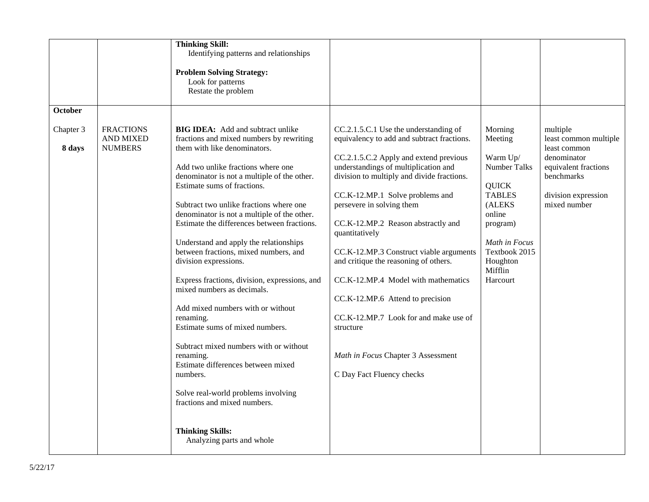|                     |                                                        | <b>Thinking Skill:</b><br>Identifying patterns and relationships<br><b>Problem Solving Strategy:</b><br>Look for patterns<br>Restate the problem                                                                                                                                                                                                                                                                                                                                                                                                                                                                                                                                                                                                                                                                                                  |                                                                                                                                                                                                                                                                                                                                                                                                                                                                                                                                                                                                                                     |                                                                                                                                                                                             |                                                                                                                                               |
|---------------------|--------------------------------------------------------|---------------------------------------------------------------------------------------------------------------------------------------------------------------------------------------------------------------------------------------------------------------------------------------------------------------------------------------------------------------------------------------------------------------------------------------------------------------------------------------------------------------------------------------------------------------------------------------------------------------------------------------------------------------------------------------------------------------------------------------------------------------------------------------------------------------------------------------------------|-------------------------------------------------------------------------------------------------------------------------------------------------------------------------------------------------------------------------------------------------------------------------------------------------------------------------------------------------------------------------------------------------------------------------------------------------------------------------------------------------------------------------------------------------------------------------------------------------------------------------------------|---------------------------------------------------------------------------------------------------------------------------------------------------------------------------------------------|-----------------------------------------------------------------------------------------------------------------------------------------------|
| October             |                                                        |                                                                                                                                                                                                                                                                                                                                                                                                                                                                                                                                                                                                                                                                                                                                                                                                                                                   |                                                                                                                                                                                                                                                                                                                                                                                                                                                                                                                                                                                                                                     |                                                                                                                                                                                             |                                                                                                                                               |
| Chapter 3<br>8 days | <b>FRACTIONS</b><br><b>AND MIXED</b><br><b>NUMBERS</b> | <b>BIG IDEA:</b> Add and subtract unlike<br>fractions and mixed numbers by rewriting<br>them with like denominators.<br>Add two unlike fractions where one<br>denominator is not a multiple of the other.<br>Estimate sums of fractions.<br>Subtract two unlike fractions where one<br>denominator is not a multiple of the other.<br>Estimate the differences between fractions.<br>Understand and apply the relationships<br>between fractions, mixed numbers, and<br>division expressions.<br>Express fractions, division, expressions, and<br>mixed numbers as decimals.<br>Add mixed numbers with or without<br>renaming.<br>Estimate sums of mixed numbers.<br>Subtract mixed numbers with or without<br>renaming.<br>Estimate differences between mixed<br>numbers.<br>Solve real-world problems involving<br>fractions and mixed numbers. | CC.2.1.5.C.1 Use the understanding of<br>equivalency to add and subtract fractions.<br>CC.2.1.5.C.2 Apply and extend previous<br>understandings of multiplication and<br>division to multiply and divide fractions.<br>CC.K-12.MP.1 Solve problems and<br>persevere in solving them<br>CC.K-12.MP.2 Reason abstractly and<br>quantitatively<br>CC.K-12.MP.3 Construct viable arguments<br>and critique the reasoning of others.<br>CC.K-12.MP.4 Model with mathematics<br>CC.K-12.MP.6 Attend to precision<br>CC.K-12.MP.7 Look for and make use of<br>structure<br>Math in Focus Chapter 3 Assessment<br>C Day Fact Fluency checks | Morning<br>Meeting<br>Warm Up/<br><b>Number Talks</b><br><b>QUICK</b><br><b>TABLES</b><br>(ALEKS<br>online<br>program)<br>Math in Focus<br>Textbook 2015<br>Houghton<br>Mifflin<br>Harcourt | multiple<br>least common multiple<br>least common<br>denominator<br>equivalent fractions<br>benchmarks<br>division expression<br>mixed number |
|                     |                                                        | <b>Thinking Skills:</b><br>Analyzing parts and whole                                                                                                                                                                                                                                                                                                                                                                                                                                                                                                                                                                                                                                                                                                                                                                                              |                                                                                                                                                                                                                                                                                                                                                                                                                                                                                                                                                                                                                                     |                                                                                                                                                                                             |                                                                                                                                               |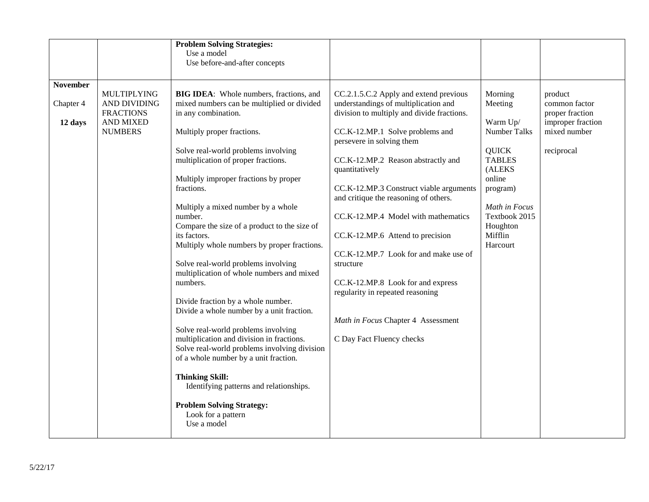|                                         |                                                                                              | <b>Problem Solving Strategies:</b><br>Use a model<br>Use before-and-after concepts                                                                                                                                                                                                                                                                                                                                                                                                                                                                                                                                                                                                                                                |                                                                                                                                                                                                                                                                                                                                                               |                                                                                                  |                                                                                                |
|-----------------------------------------|----------------------------------------------------------------------------------------------|-----------------------------------------------------------------------------------------------------------------------------------------------------------------------------------------------------------------------------------------------------------------------------------------------------------------------------------------------------------------------------------------------------------------------------------------------------------------------------------------------------------------------------------------------------------------------------------------------------------------------------------------------------------------------------------------------------------------------------------|---------------------------------------------------------------------------------------------------------------------------------------------------------------------------------------------------------------------------------------------------------------------------------------------------------------------------------------------------------------|--------------------------------------------------------------------------------------------------|------------------------------------------------------------------------------------------------|
| <b>November</b><br>Chapter 4<br>12 days | <b>MULTIPLYING</b><br>AND DIVIDING<br><b>FRACTIONS</b><br><b>AND MIXED</b><br><b>NUMBERS</b> | BIG IDEA: Whole numbers, fractions, and<br>mixed numbers can be multiplied or divided<br>in any combination.<br>Multiply proper fractions.<br>Solve real-world problems involving<br>multiplication of proper fractions.                                                                                                                                                                                                                                                                                                                                                                                                                                                                                                          | CC.2.1.5.C.2 Apply and extend previous<br>understandings of multiplication and<br>division to multiply and divide fractions.<br>CC.K-12.MP.1 Solve problems and<br>persevere in solving them<br>CC.K-12.MP.2 Reason abstractly and<br>quantitatively                                                                                                          | Morning<br>Meeting<br>Warm Up/<br><b>Number Talks</b><br><b>QUICK</b><br><b>TABLES</b><br>(ALEKS | product<br>common factor<br>proper fraction<br>improper fraction<br>mixed number<br>reciprocal |
|                                         |                                                                                              | Multiply improper fractions by proper<br>fractions.<br>Multiply a mixed number by a whole<br>number.<br>Compare the size of a product to the size of<br>its factors.<br>Multiply whole numbers by proper fractions.<br>Solve real-world problems involving<br>multiplication of whole numbers and mixed<br>numbers.<br>Divide fraction by a whole number.<br>Divide a whole number by a unit fraction.<br>Solve real-world problems involving<br>multiplication and division in fractions.<br>Solve real-world problems involving division<br>of a whole number by a unit fraction.<br><b>Thinking Skill:</b><br>Identifying patterns and relationships.<br><b>Problem Solving Strategy:</b><br>Look for a pattern<br>Use a model | CC.K-12.MP.3 Construct viable arguments<br>and critique the reasoning of others.<br>CC.K-12.MP.4 Model with mathematics<br>CC.K-12.MP.6 Attend to precision<br>CC.K-12.MP.7 Look for and make use of<br>structure<br>CC.K-12.MP.8 Look for and express<br>regularity in repeated reasoning<br>Math in Focus Chapter 4 Assessment<br>C Day Fact Fluency checks | online<br>program)<br>Math in Focus<br>Textbook 2015<br>Houghton<br>Mifflin<br>Harcourt          |                                                                                                |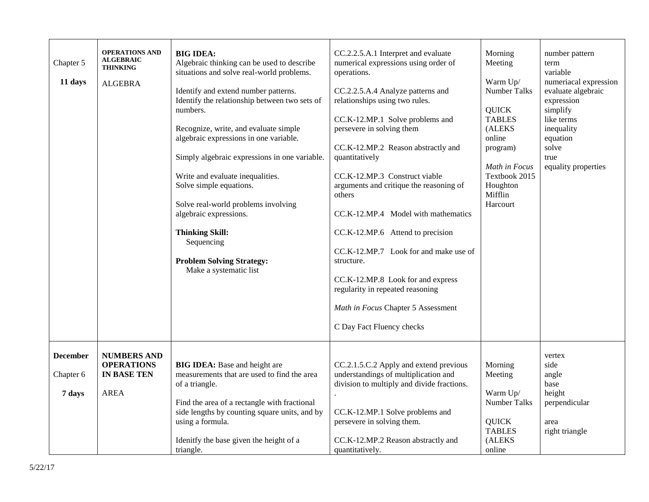| Chapter 5<br>11 days                   | <b>OPERATIONS AND</b><br><b>ALGEBRAIC</b><br><b>THINKING</b><br><b>ALGEBRA</b> | <b>BIG IDEA:</b><br>Algebraic thinking can be used to describe<br>situations and solve real-world problems.<br>Identify and extend number patterns.<br>Identify the relationship between two sets of<br>numbers.<br>Recognize, write, and evaluate simple<br>algebraic expressions in one variable.<br>Simply algebraic expressions in one variable.<br>Write and evaluate inequalities.<br>Solve simple equations.<br>Solve real-world problems involving<br>algebraic expressions.<br><b>Thinking Skill:</b><br>Sequencing<br><b>Problem Solving Strategy:</b><br>Make a systematic list | CC.2.2.5.A.1 Interpret and evaluate<br>numerical expressions using order of<br>operations.<br>CC.2.2.5.A.4 Analyze patterns and<br>relationships using two rules.<br>CC.K-12.MP.1 Solve problems and<br>persevere in solving them<br>CC.K-12.MP.2 Reason abstractly and<br>quantitatively<br>CC.K-12.MP.3 Construct viable<br>arguments and critique the reasoning of<br>others<br>CC.K-12.MP.4 Model with mathematics<br>CC.K-12.MP.6 Attend to precision<br>CC.K-12.MP.7 Look for and make use of<br>structure.<br>CC.K-12.MP.8 Look for and express<br>regularity in repeated reasoning<br>Math in Focus Chapter 5 Assessment<br>C Day Fact Fluency checks | Morning<br>Meeting<br>Warm Up/<br><b>Number Talks</b><br><b>QUICK</b><br><b>TABLES</b><br>(ALEKS<br>online<br>program)<br>Math in Focus<br>Textbook 2015<br>Houghton<br>Mifflin<br>Harcourt | number pattern<br>term<br>variable<br>numeriacal expression<br>evaluate algebraic<br>expression<br>simplify<br>like terms<br>inequality<br>equation<br>solve<br>true<br>equality properties |
|----------------------------------------|--------------------------------------------------------------------------------|--------------------------------------------------------------------------------------------------------------------------------------------------------------------------------------------------------------------------------------------------------------------------------------------------------------------------------------------------------------------------------------------------------------------------------------------------------------------------------------------------------------------------------------------------------------------------------------------|---------------------------------------------------------------------------------------------------------------------------------------------------------------------------------------------------------------------------------------------------------------------------------------------------------------------------------------------------------------------------------------------------------------------------------------------------------------------------------------------------------------------------------------------------------------------------------------------------------------------------------------------------------------|---------------------------------------------------------------------------------------------------------------------------------------------------------------------------------------------|---------------------------------------------------------------------------------------------------------------------------------------------------------------------------------------------|
| <b>December</b><br>Chapter 6<br>7 days | <b>NUMBERS AND</b><br><b>OPERATIONS</b><br><b>IN BASE TEN</b><br><b>AREA</b>   | <b>BIG IDEA:</b> Base and height are<br>measurements that are used to find the area<br>of a triangle.<br>Find the area of a rectangle with fractional<br>side lengths by counting square units, and by<br>using a formula.<br>Idenitfy the base given the height of a<br>triangle.                                                                                                                                                                                                                                                                                                         | CC.2.1.5.C.2 Apply and extend previous<br>understandings of multiplication and<br>division to multiply and divide fractions.<br>CC.K-12.MP.1 Solve problems and<br>persevere in solving them.<br>CC.K-12.MP.2 Reason abstractly and<br>quantitatively.                                                                                                                                                                                                                                                                                                                                                                                                        | Morning<br>Meeting<br>Warm Up/<br>Number Talks<br><b>QUICK</b><br><b>TABLES</b><br>(ALEKS<br>online                                                                                         | vertex<br>side<br>angle<br>base<br>height<br>perpendicular<br>area<br>right triangle                                                                                                        |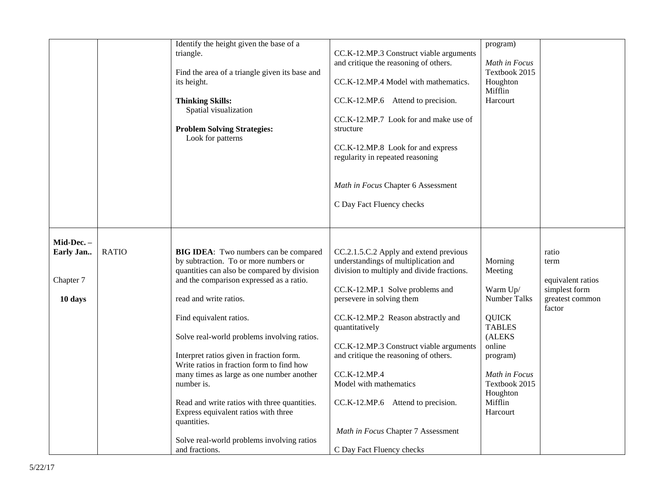|                                                 |              | Identify the height given the base of a<br>triangle.<br>Find the area of a triangle given its base and<br>its height.<br><b>Thinking Skills:</b><br>Spatial visualization<br><b>Problem Solving Strategies:</b><br>Look for patterns                                                                                                                                                                                                                                                                                                                                                                     | CC.K-12.MP.3 Construct viable arguments<br>and critique the reasoning of others.<br>CC.K-12.MP.4 Model with mathematics.<br>CC.K-12.MP.6 Attend to precision.<br>CC.K-12.MP.7 Look for and make use of<br>structure<br>CC.K-12.MP.8 Look for and express<br>regularity in repeated reasoning<br>Math in Focus Chapter 6 Assessment<br>C Day Fact Fluency checks                                                                                                                            | program)<br>Math in Focus<br>Textbook 2015<br>Houghton<br>Mifflin<br>Harcourt                                                                                                               |                                                                                  |
|-------------------------------------------------|--------------|----------------------------------------------------------------------------------------------------------------------------------------------------------------------------------------------------------------------------------------------------------------------------------------------------------------------------------------------------------------------------------------------------------------------------------------------------------------------------------------------------------------------------------------------------------------------------------------------------------|--------------------------------------------------------------------------------------------------------------------------------------------------------------------------------------------------------------------------------------------------------------------------------------------------------------------------------------------------------------------------------------------------------------------------------------------------------------------------------------------|---------------------------------------------------------------------------------------------------------------------------------------------------------------------------------------------|----------------------------------------------------------------------------------|
| Mid-Dec. -<br>Early Jan<br>Chapter 7<br>10 days | <b>RATIO</b> | BIG IDEA: Two numbers can be compared<br>by subtraction. To or more numbers or<br>quantities can also be compared by division<br>and the comparison expressed as a ratio.<br>read and write ratios.<br>Find equivalent ratios.<br>Solve real-world problems involving ratios.<br>Interpret ratios given in fraction form.<br>Write ratios in fraction form to find how<br>many times as large as one number another<br>number is.<br>Read and write ratios with three quantities.<br>Express equivalent ratios with three<br>quantities.<br>Solve real-world problems involving ratios<br>and fractions. | CC.2.1.5.C.2 Apply and extend previous<br>understandings of multiplication and<br>division to multiply and divide fractions.<br>CC.K-12.MP.1 Solve problems and<br>persevere in solving them<br>CC.K-12.MP.2 Reason abstractly and<br>quantitatively<br>CC.K-12.MP.3 Construct viable arguments<br>and critique the reasoning of others.<br>CC.K-12.MP.4<br>Model with mathematics<br>CC.K-12.MP.6 Attend to precision.<br>Math in Focus Chapter 7 Assessment<br>C Day Fact Fluency checks | Morning<br>Meeting<br>Warm Up/<br><b>Number Talks</b><br><b>QUICK</b><br><b>TABLES</b><br>(ALEKS<br>online<br>program)<br>Math in Focus<br>Textbook 2015<br>Houghton<br>Mifflin<br>Harcourt | ratio<br>term<br>equivalent ratios<br>simplest form<br>greatest common<br>factor |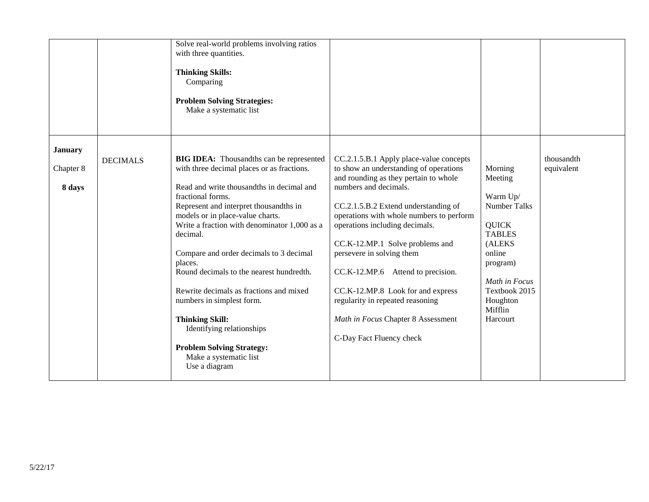|                |                 | Solve real-world problems involving ratios<br>with three quantities.<br><b>Thinking Skills:</b><br>Comparing<br><b>Problem Solving Strategies:</b><br>Make a systematic list |                                          |                               |            |
|----------------|-----------------|------------------------------------------------------------------------------------------------------------------------------------------------------------------------------|------------------------------------------|-------------------------------|------------|
| <b>January</b> |                 |                                                                                                                                                                              |                                          |                               |            |
|                | <b>DECIMALS</b> | <b>BIG IDEA:</b> Thousandths can be represented                                                                                                                              | CC.2.1.5.B.1 Apply place-value concepts  |                               | thousandth |
| Chapter 8      |                 | with three decimal places or as fractions.                                                                                                                                   | to show an understanding of operations   | Morning                       | equivalent |
|                |                 |                                                                                                                                                                              | and rounding as they pertain to whole    | Meeting                       |            |
| 8 days         |                 | Read and write thousandths in decimal and                                                                                                                                    | numbers and decimals.                    |                               |            |
|                |                 | fractional forms.                                                                                                                                                            |                                          | Warm Up/                      |            |
|                |                 | Represent and interpret thousandths in                                                                                                                                       | CC.2.1.5.B.2 Extend understanding of     | <b>Number Talks</b>           |            |
|                |                 | models or in place-value charts.                                                                                                                                             | operations with whole numbers to perform |                               |            |
|                |                 | Write a fraction with denominator 1,000 as a<br>decimal.                                                                                                                     | operations including decimals.           | <b>QUICK</b><br><b>TABLES</b> |            |
|                |                 |                                                                                                                                                                              | CC.K-12.MP.1 Solve problems and          | (ALEKS                        |            |
|                |                 | Compare and order decimals to 3 decimal                                                                                                                                      | persevere in solving them                | online                        |            |
|                |                 | places.                                                                                                                                                                      |                                          | program)                      |            |
|                |                 | Round decimals to the nearest hundredth.                                                                                                                                     | CC.K-12.MP.6 Attend to precision.        |                               |            |
|                |                 |                                                                                                                                                                              |                                          | Math in Focus                 |            |
|                |                 | Rewrite decimals as fractions and mixed                                                                                                                                      | CC.K-12.MP.8 Look for and express        | Textbook 2015                 |            |
|                |                 | numbers in simplest form.                                                                                                                                                    | regularity in repeated reasoning         | Houghton                      |            |
|                |                 |                                                                                                                                                                              |                                          | Mifflin                       |            |
|                |                 | <b>Thinking Skill:</b>                                                                                                                                                       | Math in Focus Chapter 8 Assessment       | Harcourt                      |            |
|                |                 | Identifying relationships                                                                                                                                                    | C-Day Fact Fluency check                 |                               |            |
|                |                 | <b>Problem Solving Strategy:</b>                                                                                                                                             |                                          |                               |            |
|                |                 | Make a systematic list                                                                                                                                                       |                                          |                               |            |
|                |                 | Use a diagram                                                                                                                                                                |                                          |                               |            |
|                |                 |                                                                                                                                                                              |                                          |                               |            |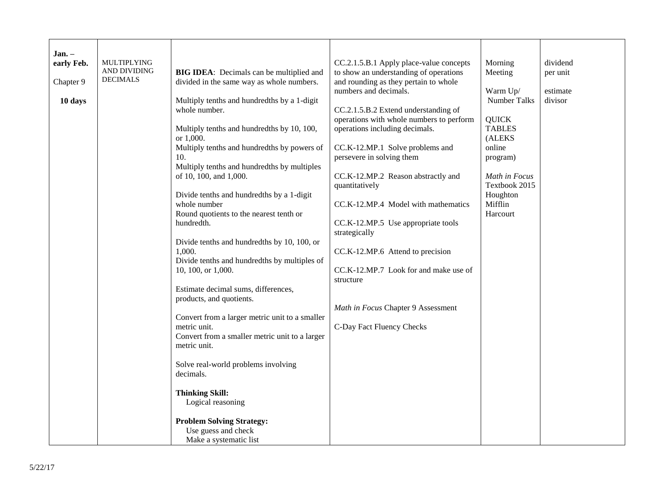| Jan. –     | <b>MULTIPLYING</b> |                                                         |                                                                                   |                               | dividend |
|------------|--------------------|---------------------------------------------------------|-----------------------------------------------------------------------------------|-------------------------------|----------|
| early Feb. | AND DIVIDING       | <b>BIG IDEA:</b> Decimals can be multiplied and         | CC.2.1.5.B.1 Apply place-value concepts<br>to show an understanding of operations | Morning<br>Meeting            | per unit |
| Chapter 9  | <b>DECIMALS</b>    | divided in the same way as whole numbers.               | and rounding as they pertain to whole                                             |                               |          |
|            |                    |                                                         | numbers and decimals.                                                             | Warm Up/                      | estimate |
| 10 days    |                    | Multiply tenths and hundredths by a 1-digit             |                                                                                   | Number Talks                  | divisor  |
|            |                    | whole number.                                           | CC.2.1.5.B.2 Extend understanding of                                              |                               |          |
|            |                    |                                                         | operations with whole numbers to perform                                          | <b>QUICK</b><br><b>TABLES</b> |          |
|            |                    | Multiply tenths and hundredths by 10, 100,<br>or 1,000. | operations including decimals.                                                    | (ALEKS                        |          |
|            |                    | Multiply tenths and hundredths by powers of             | CC.K-12.MP.1 Solve problems and                                                   | online                        |          |
|            |                    | 10.                                                     | persevere in solving them                                                         | program)                      |          |
|            |                    | Multiply tenths and hundredths by multiples             |                                                                                   |                               |          |
|            |                    | of 10, 100, and 1,000.                                  | CC.K-12.MP.2 Reason abstractly and                                                | Math in Focus                 |          |
|            |                    | Divide tenths and hundredths by a 1-digit               | quantitatively                                                                    | Textbook 2015<br>Houghton     |          |
|            |                    | whole number                                            | CC.K-12.MP.4 Model with mathematics                                               | Mifflin                       |          |
|            |                    | Round quotients to the nearest tenth or                 |                                                                                   | Harcourt                      |          |
|            |                    | hundredth.                                              | CC.K-12.MP.5 Use appropriate tools                                                |                               |          |
|            |                    |                                                         | strategically                                                                     |                               |          |
|            |                    | Divide tenths and hundredths by 10, 100, or<br>1,000.   |                                                                                   |                               |          |
|            |                    | Divide tenths and hundredths by multiples of            | CC.K-12.MP.6 Attend to precision                                                  |                               |          |
|            |                    | 10, 100, or 1,000.                                      | CC.K-12.MP.7 Look for and make use of                                             |                               |          |
|            |                    |                                                         | structure                                                                         |                               |          |
|            |                    | Estimate decimal sums, differences,                     |                                                                                   |                               |          |
|            |                    | products, and quotients.                                |                                                                                   |                               |          |
|            |                    | Convert from a larger metric unit to a smaller          | Math in Focus Chapter 9 Assessment                                                |                               |          |
|            |                    | metric unit.                                            | C-Day Fact Fluency Checks                                                         |                               |          |
|            |                    | Convert from a smaller metric unit to a larger          |                                                                                   |                               |          |
|            |                    | metric unit.                                            |                                                                                   |                               |          |
|            |                    |                                                         |                                                                                   |                               |          |
|            |                    | Solve real-world problems involving<br>decimals.        |                                                                                   |                               |          |
|            |                    |                                                         |                                                                                   |                               |          |
|            |                    | <b>Thinking Skill:</b>                                  |                                                                                   |                               |          |
|            |                    | Logical reasoning                                       |                                                                                   |                               |          |
|            |                    |                                                         |                                                                                   |                               |          |
|            |                    | <b>Problem Solving Strategy:</b><br>Use guess and check |                                                                                   |                               |          |
|            |                    | Make a systematic list                                  |                                                                                   |                               |          |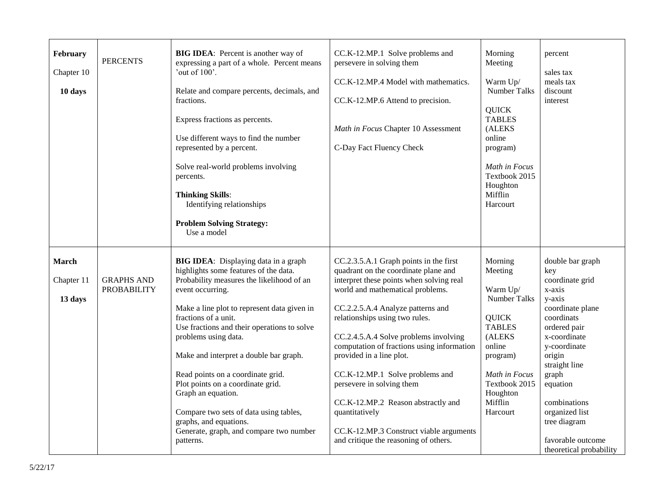| February<br>Chapter 10<br>10 days     | <b>PERCENTS</b>                         | <b>BIG IDEA:</b> Percent is another way of<br>expressing a part of a whole. Percent means<br>'out of $100$ '.<br>Relate and compare percents, decimals, and<br>fractions.<br>Express fractions as percents.<br>Use different ways to find the number<br>represented by a percent.<br>Solve real-world problems involving<br>percents.<br><b>Thinking Skills:</b><br>Identifying relationships<br><b>Problem Solving Strategy:</b><br>Use a model                                                                                                                   | CC.K-12.MP.1 Solve problems and<br>persevere in solving them<br>CC.K-12.MP.4 Model with mathematics.<br>CC.K-12.MP.6 Attend to precision.<br>Math in Focus Chapter 10 Assessment<br>C-Day Fact Fluency Check                                                                                                                                                                                                                                                                                                                                                         | Morning<br>Meeting<br>Warm Up/<br>Number Talks<br><b>QUICK</b><br><b>TABLES</b><br>(ALEKS<br>online<br>program)<br>Math in Focus<br>Textbook 2015<br>Houghton<br>Mifflin<br>Harcourt | percent<br>sales tax<br>meals tax<br>discount<br>interest                                                                                                                                                                                                                                          |
|---------------------------------------|-----------------------------------------|--------------------------------------------------------------------------------------------------------------------------------------------------------------------------------------------------------------------------------------------------------------------------------------------------------------------------------------------------------------------------------------------------------------------------------------------------------------------------------------------------------------------------------------------------------------------|----------------------------------------------------------------------------------------------------------------------------------------------------------------------------------------------------------------------------------------------------------------------------------------------------------------------------------------------------------------------------------------------------------------------------------------------------------------------------------------------------------------------------------------------------------------------|--------------------------------------------------------------------------------------------------------------------------------------------------------------------------------------|----------------------------------------------------------------------------------------------------------------------------------------------------------------------------------------------------------------------------------------------------------------------------------------------------|
| <b>March</b><br>Chapter 11<br>13 days | <b>GRAPHS AND</b><br><b>PROBABILITY</b> | BIG IDEA: Displaying data in a graph<br>highlights some features of the data.<br>Probability measures the likelihood of an<br>event occurring.<br>Make a line plot to represent data given in<br>fractions of a unit.<br>Use fractions and their operations to solve<br>problems using data.<br>Make and interpret a double bar graph.<br>Read points on a coordinate grid.<br>Plot points on a coordinate grid.<br>Graph an equation.<br>Compare two sets of data using tables,<br>graphs, and equations.<br>Generate, graph, and compare two number<br>patterns. | CC.2.3.5.A.1 Graph points in the first<br>quadrant on the coordinate plane and<br>interpret these points when solving real<br>world and mathematical problems.<br>CC.2.2.5.A.4 Analyze patterns and<br>relationships using two rules.<br>CC.2.4.5.A.4 Solve problems involving<br>computation of fractions using information<br>provided in a line plot.<br>CC.K-12.MP.1 Solve problems and<br>persevere in solving them<br>CC.K-12.MP.2 Reason abstractly and<br>quantitatively<br>CC.K-12.MP.3 Construct viable arguments<br>and critique the reasoning of others. | Morning<br>Meeting<br>Warm Up/<br>Number Talks<br><b>QUICK</b><br><b>TABLES</b><br>(ALEKS<br>online<br>program)<br>Math in Focus<br>Textbook 2015<br>Houghton<br>Mifflin<br>Harcourt | double bar graph<br>key<br>coordinate grid<br>x-axis<br>y-axis<br>coordinate plane<br>coordinats<br>ordered pair<br>x-coordinate<br>y-coordinate<br>origin<br>straight line<br>graph<br>equation<br>combinations<br>organized list<br>tree diagram<br>favorable outcome<br>theoretical probability |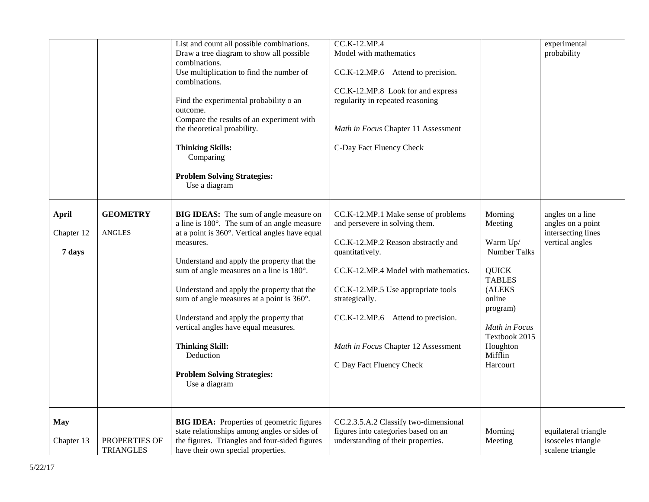|              |                  | List and count all possible combinations.                   | CC.K-12.MP.4                          |               | experimental                          |
|--------------|------------------|-------------------------------------------------------------|---------------------------------------|---------------|---------------------------------------|
|              |                  | Draw a tree diagram to show all possible                    | Model with mathematics                |               | probability                           |
|              |                  | combinations.                                               |                                       |               |                                       |
|              |                  | Use multiplication to find the number of                    | CC.K-12.MP.6 Attend to precision.     |               |                                       |
|              |                  | combinations.                                               |                                       |               |                                       |
|              |                  |                                                             | CC.K-12.MP.8 Look for and express     |               |                                       |
|              |                  | Find the experimental probability o an                      | regularity in repeated reasoning      |               |                                       |
|              |                  | outcome.                                                    |                                       |               |                                       |
|              |                  | Compare the results of an experiment with                   |                                       |               |                                       |
|              |                  | the theoretical proability.                                 | Math in Focus Chapter 11 Assessment   |               |                                       |
|              |                  | <b>Thinking Skills:</b><br>Comparing                        | C-Day Fact Fluency Check              |               |                                       |
|              |                  | <b>Problem Solving Strategies:</b>                          |                                       |               |                                       |
|              |                  | Use a diagram                                               |                                       |               |                                       |
|              |                  |                                                             |                                       |               |                                       |
| <b>April</b> | <b>GEOMETRY</b>  | <b>BIG IDEAS:</b> The sum of angle measure on               | CC.K-12.MP.1 Make sense of problems   | Morning       | angles on a line                      |
|              |                  | a line is 180°. The sum of an angle measure                 | and persevere in solving them.        | Meeting       | angles on a point                     |
| Chapter 12   | <b>ANGLES</b>    | at a point is 360°. Vertical angles have equal<br>measures. | CC.K-12.MP.2 Reason abstractly and    | Warm Up/      | intersecting lines<br>vertical angles |
| 7 days       |                  |                                                             | quantitatively.                       | Number Talks  |                                       |
|              |                  | Understand and apply the property that the                  |                                       |               |                                       |
|              |                  | sum of angle measures on a line is 180°.                    | CC.K-12.MP.4 Model with mathematics.  | <b>QUICK</b>  |                                       |
|              |                  |                                                             |                                       | <b>TABLES</b> |                                       |
|              |                  | Understand and apply the property that the                  | CC.K-12.MP.5 Use appropriate tools    | (ALEKS        |                                       |
|              |                  | sum of angle measures at a point is 360°.                   | strategically.                        | online        |                                       |
|              |                  |                                                             |                                       | program)      |                                       |
|              |                  | Understand and apply the property that                      | CC.K-12.MP.6 Attend to precision.     |               |                                       |
|              |                  | vertical angles have equal measures.                        |                                       | Math in Focus |                                       |
|              |                  |                                                             |                                       | Textbook 2015 |                                       |
|              |                  | <b>Thinking Skill:</b>                                      | Math in Focus Chapter 12 Assessment   | Houghton      |                                       |
|              |                  | Deduction                                                   |                                       | Mifflin       |                                       |
|              |                  |                                                             | C Day Fact Fluency Check              | Harcourt      |                                       |
|              |                  | <b>Problem Solving Strategies:</b>                          |                                       |               |                                       |
|              |                  | Use a diagram                                               |                                       |               |                                       |
|              |                  |                                                             |                                       |               |                                       |
| <b>May</b>   |                  | <b>BIG IDEA:</b> Properties of geometric figures            | CC.2.3.5.A.2 Classify two-dimensional |               |                                       |
|              |                  | state relationships among angles or sides of                | figures into categories based on an   | Morning       | equilateral triangle                  |
| Chapter 13   | PROPERTIES OF    | the figures. Triangles and four-sided figures               | understanding of their properties.    | Meeting       | isosceles triangle                    |
|              |                  |                                                             |                                       |               |                                       |
|              | <b>TRIANGLES</b> | have their own special properties.                          |                                       |               | scalene triangle                      |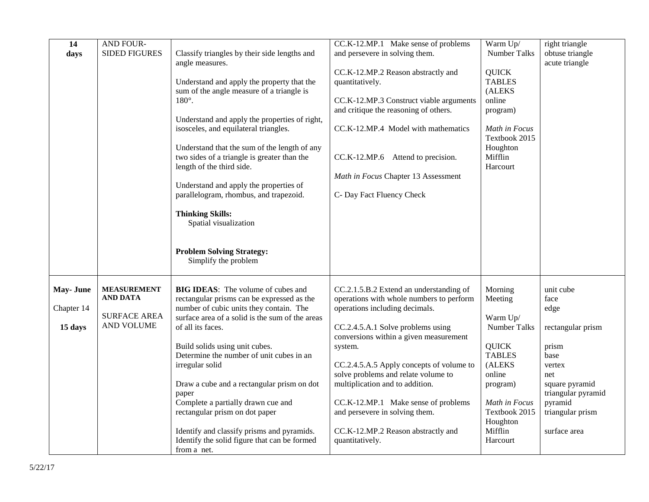| 14<br>days                         | AND FOUR-<br><b>SIDED FIGURES</b>                                          | Classify triangles by their side lengths and<br>angle measures.<br>Understand and apply the property that the<br>sum of the angle measure of a triangle is<br>$180^\circ$ .<br>Understand and apply the properties of right,<br>isosceles, and equilateral triangles.<br>Understand that the sum of the length of any<br>two sides of a triangle is greater than the<br>length of the third side.<br>Understand and apply the properties of<br>parallelogram, rhombus, and trapezoid.<br><b>Thinking Skills:</b><br>Spatial visualization<br><b>Problem Solving Strategy:</b><br>Simplify the problem | CC.K-12.MP.1 Make sense of problems<br>and persevere in solving them.<br>CC.K-12.MP.2 Reason abstractly and<br>quantitatively.<br>CC.K-12.MP.3 Construct viable arguments<br>and critique the reasoning of others.<br>CC.K-12.MP.4 Model with mathematics<br>CC.K-12.MP.6 Attend to precision.<br>Math in Focus Chapter 13 Assessment<br>C- Day Fact Fluency Check                                                                                                      | Warm Up/<br>Number Talks<br><b>QUICK</b><br><b>TABLES</b><br>(ALEKS<br>online<br>program)<br>Math in Focus<br>Textbook 2015<br>Houghton<br>Mifflin<br>Harcourt                       | right triangle<br>obtuse triangle<br>acute triangle                                                                                                                     |
|------------------------------------|----------------------------------------------------------------------------|-------------------------------------------------------------------------------------------------------------------------------------------------------------------------------------------------------------------------------------------------------------------------------------------------------------------------------------------------------------------------------------------------------------------------------------------------------------------------------------------------------------------------------------------------------------------------------------------------------|-------------------------------------------------------------------------------------------------------------------------------------------------------------------------------------------------------------------------------------------------------------------------------------------------------------------------------------------------------------------------------------------------------------------------------------------------------------------------|--------------------------------------------------------------------------------------------------------------------------------------------------------------------------------------|-------------------------------------------------------------------------------------------------------------------------------------------------------------------------|
| May- June<br>Chapter 14<br>15 days | <b>MEASUREMENT</b><br><b>AND DATA</b><br><b>SURFACE AREA</b><br>AND VOLUME | <b>BIG IDEAS:</b> The volume of cubes and<br>rectangular prisms can be expressed as the<br>number of cubic units they contain. The<br>surface area of a solid is the sum of the areas<br>of all its faces.<br>Build solids using unit cubes.<br>Determine the number of unit cubes in an<br>irregular solid<br>Draw a cube and a rectangular prism on dot<br>paper<br>Complete a partially drawn cue and<br>rectangular prism on dot paper<br>Identify and classify prisms and pyramids.<br>Identify the solid figure that can be formed<br>from a net.                                               | CC.2.1.5.B.2 Extend an understanding of<br>operations with whole numbers to perform<br>operations including decimals.<br>CC.2.4.5.A.1 Solve problems using<br>conversions within a given measurement<br>system.<br>CC.2.4.5.A.5 Apply concepts of volume to<br>solve problems and relate volume to<br>multiplication and to addition.<br>CC.K-12.MP.1 Make sense of problems<br>and persevere in solving them.<br>CC.K-12.MP.2 Reason abstractly and<br>quantitatively. | Morning<br>Meeting<br>Warm Up/<br>Number Talks<br><b>QUICK</b><br><b>TABLES</b><br>(ALEKS<br>online<br>program)<br>Math in Focus<br>Textbook 2015<br>Houghton<br>Mifflin<br>Harcourt | unit cube<br>face<br>edge<br>rectangular prism<br>prism<br>base<br>vertex<br>net<br>square pyramid<br>triangular pyramid<br>pyramid<br>triangular prism<br>surface area |